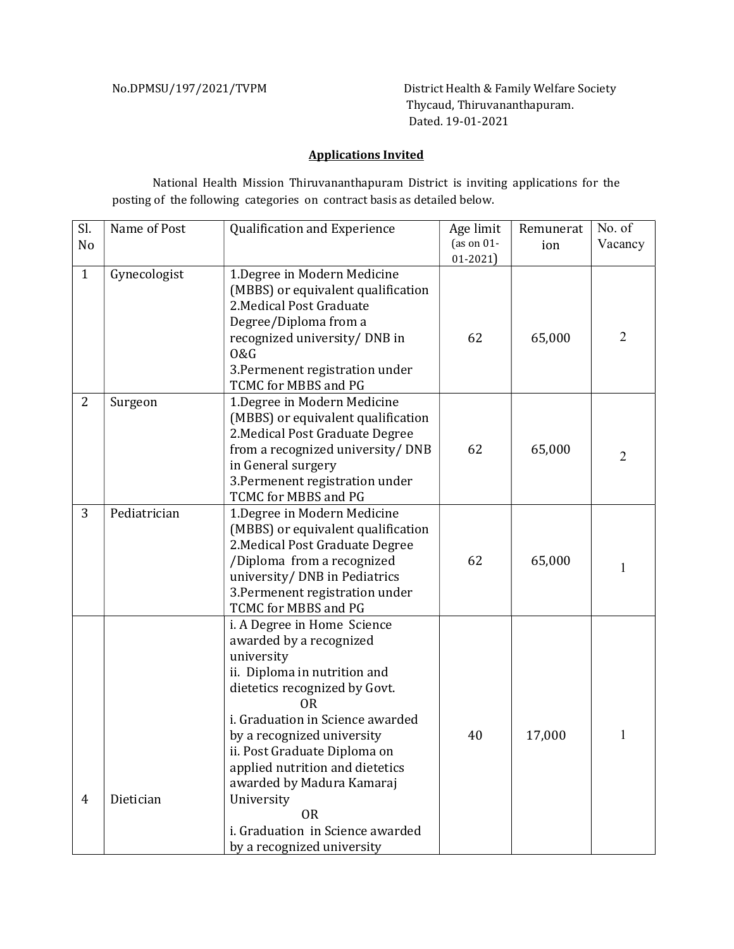No.DPMSU/197/2021/TVPM District Health & Family Welfare Society Thycaud, Thiruvananthapuram. Dated. 19-01-2021

## Applications Invited

National Health Mission Thiruvananthapuram District is inviting applications for the posting of the following categories on contract basis as detailed below.

| SI.<br>N <sub>o</sub> | Name of Post | Qualification and Experience                                                                                                                                                                                                                                                                                                                                                                                      | Age limit<br>(as on $01$ -<br>$01 - 2021$ | Remunerat<br>ion | No. of<br>Vacancy |
|-----------------------|--------------|-------------------------------------------------------------------------------------------------------------------------------------------------------------------------------------------------------------------------------------------------------------------------------------------------------------------------------------------------------------------------------------------------------------------|-------------------------------------------|------------------|-------------------|
| $\mathbf{1}$          | Gynecologist | 1. Degree in Modern Medicine<br>(MBBS) or equivalent qualification<br>2. Medical Post Graduate<br>Degree/Diploma from a<br>recognized university/ DNB in<br>0&G<br>3. Permenent registration under<br>TCMC for MBBS and PG                                                                                                                                                                                        | 62                                        | 65,000           | $\overline{2}$    |
| $\overline{2}$        | Surgeon      | 1. Degree in Modern Medicine<br>(MBBS) or equivalent qualification<br>2. Medical Post Graduate Degree<br>from a recognized university/ DNB<br>in General surgery<br>3. Permenent registration under<br>TCMC for MBBS and PG                                                                                                                                                                                       | 62                                        | 65,000           | $\overline{2}$    |
| 3                     | Pediatrician | 1. Degree in Modern Medicine<br>(MBBS) or equivalent qualification<br>2. Medical Post Graduate Degree<br>/Diploma from a recognized<br>university/ DNB in Pediatrics<br>3. Permenent registration under<br>TCMC for MBBS and PG                                                                                                                                                                                   | 62                                        | 65,000           | 1                 |
| 4                     | Dietician    | i. A Degree in Home Science<br>awarded by a recognized<br>university<br>ii. Diploma in nutrition and<br>dietetics recognized by Govt.<br><b>OR</b><br>i. Graduation in Science awarded<br>by a recognized university<br>ii. Post Graduate Diploma on<br>applied nutrition and dietetics<br>awarded by Madura Kamaraj<br>University<br><b>OR</b><br>i. Graduation in Science awarded<br>by a recognized university | 40                                        | 17,000           | 1                 |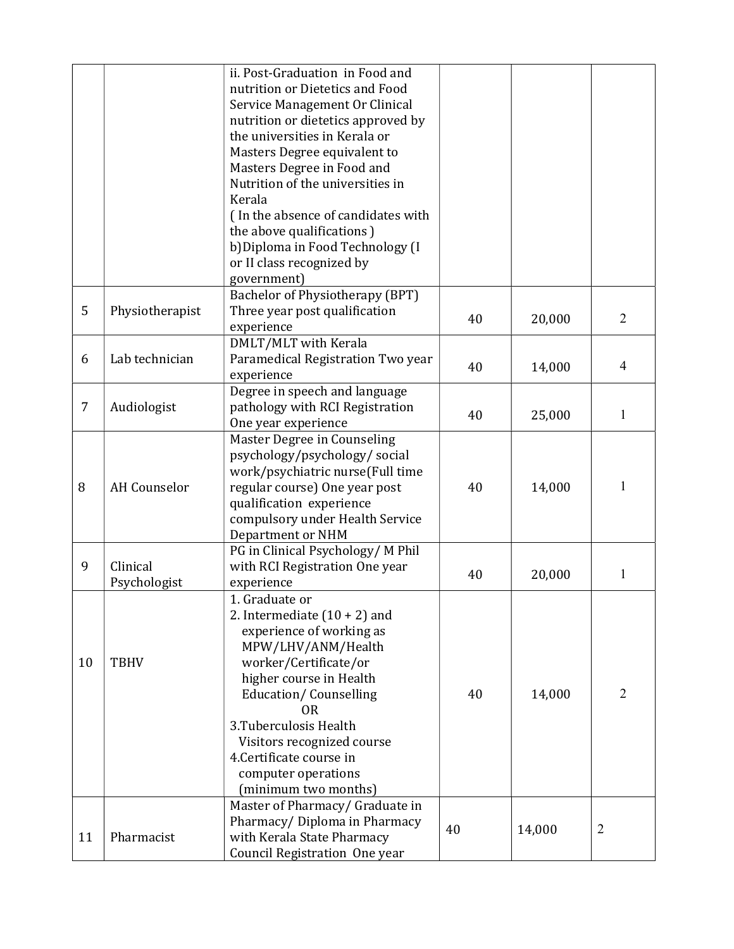|    |                          | ii. Post-Graduation in Food and<br>nutrition or Dietetics and Food<br>Service Management Or Clinical<br>nutrition or dietetics approved by<br>the universities in Kerala or<br>Masters Degree equivalent to<br>Masters Degree in Food and<br>Nutrition of the universities in                                                               |    |        |                |
|----|--------------------------|---------------------------------------------------------------------------------------------------------------------------------------------------------------------------------------------------------------------------------------------------------------------------------------------------------------------------------------------|----|--------|----------------|
|    |                          | Kerala<br>(In the absence of candidates with<br>the above qualifications)<br>b) Diploma in Food Technology (I<br>or II class recognized by<br>government)                                                                                                                                                                                   |    |        |                |
| 5  | Physiotherapist          | Bachelor of Physiotherapy (BPT)<br>Three year post qualification<br>experience<br>DMLT/MLT with Kerala                                                                                                                                                                                                                                      | 40 | 20,000 | $\overline{2}$ |
| 6  | Lab technician           | Paramedical Registration Two year<br>experience                                                                                                                                                                                                                                                                                             | 40 | 14,000 | 4              |
| 7  | Audiologist              | Degree in speech and language<br>pathology with RCI Registration<br>One year experience                                                                                                                                                                                                                                                     | 40 | 25,000 | 1              |
| 8  | <b>AH</b> Counselor      | Master Degree in Counseling<br>psychology/psychology/social<br>work/psychiatric nurse(Full time<br>regular course) One year post<br>qualification experience<br>compulsory under Health Service<br>Department or NHM                                                                                                                        | 40 | 14,000 | 1              |
| 9  | Clinical<br>Psychologist | PG in Clinical Psychology/M Phil<br>with RCI Registration One year<br>experience                                                                                                                                                                                                                                                            | 40 | 20,000 | 1              |
| 10 | <b>TBHV</b>              | 1. Graduate or<br>2. Intermediate $(10 + 2)$ and<br>experience of working as<br>MPW/LHV/ANM/Health<br>worker/Certificate/or<br>higher course in Health<br><b>Education/Counselling</b><br>0 <sub>R</sub><br>3. Tuberculosis Health<br>Visitors recognized course<br>4. Certificate course in<br>computer operations<br>(minimum two months) | 40 | 14,000 | 2              |
| 11 | Pharmacist               | Master of Pharmacy/ Graduate in<br>Pharmacy/Diploma in Pharmacy<br>with Kerala State Pharmacy<br>Council Registration One year                                                                                                                                                                                                              | 40 | 14,000 | $\overline{2}$ |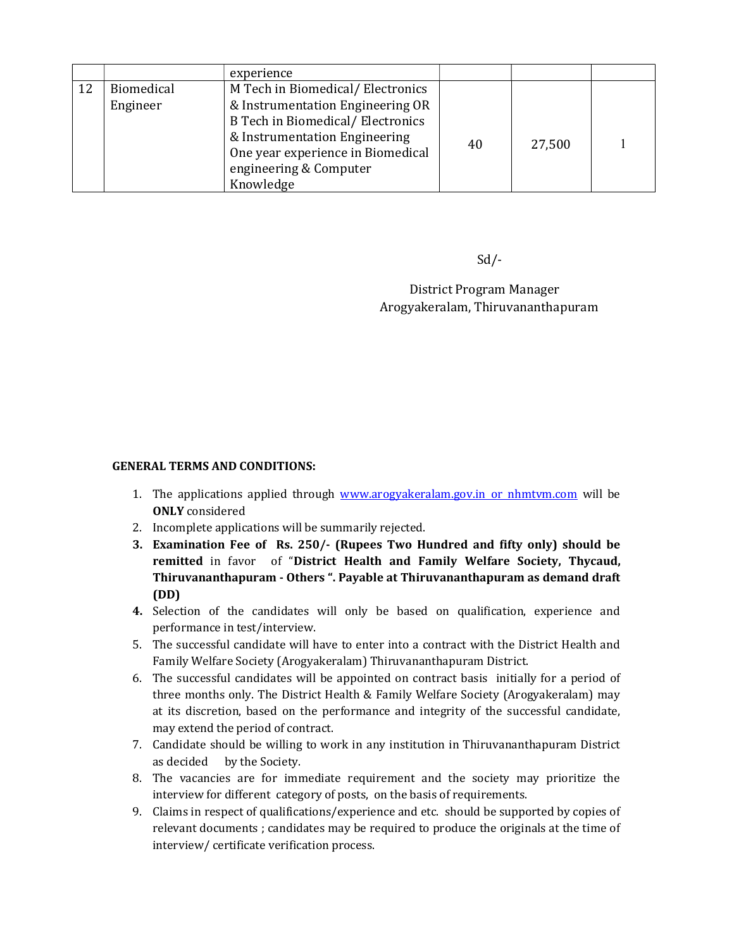|    |            | experience                              |    |        |  |
|----|------------|-----------------------------------------|----|--------|--|
| 12 | Biomedical | M Tech in Biomedical/Electronics        |    |        |  |
|    | Engineer   | & Instrumentation Engineering OR        |    |        |  |
|    |            | <b>B Tech in Biomedical/Electronics</b> |    | 27,500 |  |
|    |            | & Instrumentation Engineering           | 40 |        |  |
|    |            | One year experience in Biomedical       |    |        |  |
|    |            | engineering & Computer                  |    |        |  |
|    |            | Knowledge                               |    |        |  |

 $Sd$ 

 District Program Manager Arogyakeralam, Thiruvananthapuram

## GENERAL TERMS AND CONDITIONS:

- 1. The applications applied through www.arogyakeralam.gov.in or nhmtvm.com will be ONLY considered
- 2. Incomplete applications will be summarily rejected.
- 3. Examination Fee of Rs. 250/- (Rupees Two Hundred and fifty only) should be remitted in favor of "District Health and Family Welfare Society, Thycaud, Thiruvananthapuram - Others ". Payable at Thiruvananthapuram as demand draft (DD)
- 4. Selection of the candidates will only be based on qualification, experience and performance in test/interview.
- 5. The successful candidate will have to enter into a contract with the District Health and Family Welfare Society (Arogyakeralam) Thiruvananthapuram District.
- 6. The successful candidates will be appointed on contract basis initially for a period of three months only. The District Health & Family Welfare Society (Arogyakeralam) may at its discretion, based on the performance and integrity of the successful candidate, may extend the period of contract.
- 7. Candidate should be willing to work in any institution in Thiruvananthapuram District as decided by the Society.
- 8. The vacancies are for immediate requirement and the society may prioritize the interview for different category of posts, on the basis of requirements.
- 9. Claims in respect of qualifications/experience and etc. should be supported by copies of relevant documents ; candidates may be required to produce the originals at the time of interview/ certificate verification process.